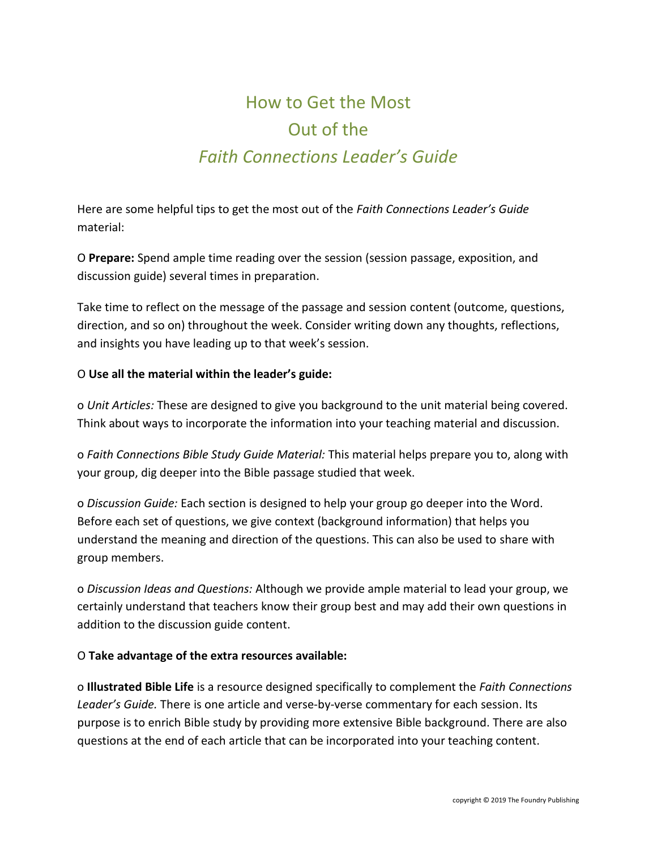# How to Get the Most Out of the *Faith Connections Leader's Guide*

Here are some helpful tips to get the most out of the *Faith Connections Leader's Guide*  material:

O **Prepare:** Spend ample time reading over the session (session passage, exposition, and discussion guide) several times in preparation.

Take time to reflect on the message of the passage and session content (outcome, questions, direction, and so on) throughout the week. Consider writing down any thoughts, reflections, and insights you have leading up to that week's session.

### O **Use all the material within the leader's guide:**

o *Unit Articles:* These are designed to give you background to the unit material being covered. Think about ways to incorporate the information into your teaching material and discussion.

o *Faith Connections Bible Study Guide Material:* This material helps prepare you to, along with your group, dig deeper into the Bible passage studied that week.

o *Discussion Guide:* Each section is designed to help your group go deeper into the Word. Before each set of questions, we give context (background information) that helps you understand the meaning and direction of the questions. This can also be used to share with group members.

o *Discussion Ideas and Questions:* Although we provide ample material to lead your group, we certainly understand that teachers know their group best and may add their own questions in addition to the discussion guide content.

### O **Take advantage of the extra resources available:**

o **Illustrated Bible Life** is a resource designed specifically to complement the *Faith Connections Leader's Guide.* There is one article and verse-by-verse commentary for each session. Its purpose is to enrich Bible study by providing more extensive Bible background. There are also questions at the end of each article that can be incorporated into your teaching content.